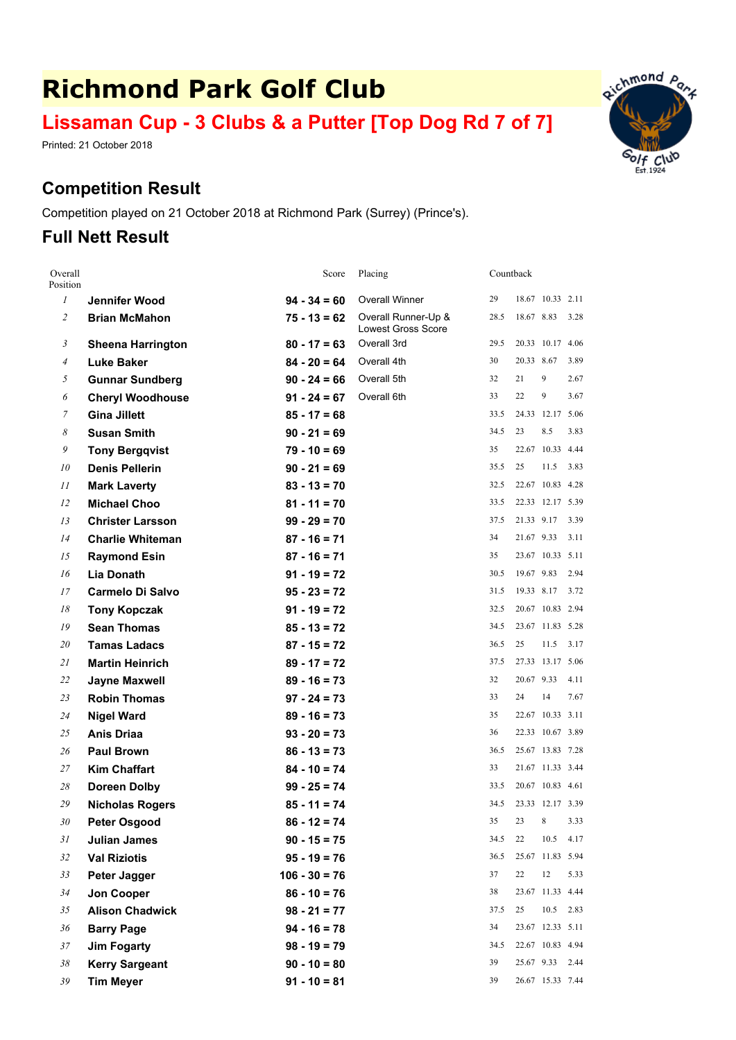# **Richmond Park Golf Club**

# **Lissaman Cup - 3 Clubs & <sup>a</sup> Putter [Top Dog Rd 7 of 7]**

Printed: 21 October 2018

## **Competition Result**

Competition played on 21 October 2018 at Richmond Park (Surrey) (Prince's).

## **Full Nett Result**

| Overall<br>Position   |                          | Score           | Placing                                          | Countback |            |                  |      |
|-----------------------|--------------------------|-----------------|--------------------------------------------------|-----------|------------|------------------|------|
| $\mathfrak{I}$        | Jennifer Wood            | $94 - 34 = 60$  | Overall Winner                                   | 29        |            | 18.67 10.33 2.11 |      |
| $\mathfrak{2}$        | <b>Brian McMahon</b>     | $75 - 13 = 62$  | Overall Runner-Up &<br><b>Lowest Gross Score</b> | 28.5      | 18.67 8.83 |                  | 3.28 |
| 3                     | <b>Sheena Harrington</b> | $80 - 17 = 63$  | Overall 3rd                                      | 29.5      |            | 20.33 10.17 4.06 |      |
| $\overline{4}$        | <b>Luke Baker</b>        | $84 - 20 = 64$  | Overall 4th                                      | 30        | 20.33 8.67 |                  | 3.89 |
| 5                     | <b>Gunnar Sundberg</b>   | $90 - 24 = 66$  | Overall 5th                                      | 32        | 21         | 9                | 2.67 |
| 6                     | <b>Cheryl Woodhouse</b>  | $91 - 24 = 67$  | Overall 6th                                      | 33        | 22         | 9                | 3.67 |
| 7                     | <b>Gina Jillett</b>      | $85 - 17 = 68$  |                                                  | 33.5      |            | 24.33 12.17 5.06 |      |
| $\boldsymbol{\delta}$ | <b>Susan Smith</b>       | $90 - 21 = 69$  |                                                  | 34.5      | 23         | 8.5              | 3.83 |
| 9                     | <b>Tony Bergqvist</b>    | $79 - 10 = 69$  |                                                  | 35        |            | 22.67 10.33 4.44 |      |
| 10                    | <b>Denis Pellerin</b>    | $90 - 21 = 69$  |                                                  | 35.5      | 25         | 11.5             | 3.83 |
| 11                    | <b>Mark Laverty</b>      | $83 - 13 = 70$  |                                                  | 32.5      |            | 22.67 10.83 4.28 |      |
| 12                    | <b>Michael Choo</b>      | $81 - 11 = 70$  |                                                  | 33.5      |            | 22.33 12.17 5.39 |      |
| 13                    | <b>Christer Larsson</b>  | $99 - 29 = 70$  |                                                  | 37.5      | 21.33 9.17 |                  | 3.39 |
| 14                    | <b>Charlie Whiteman</b>  | $87 - 16 = 71$  |                                                  | 34        | 21.67 9.33 |                  | 3.11 |
| 15                    | <b>Raymond Esin</b>      | $87 - 16 = 71$  |                                                  | 35        |            | 23.67 10.33 5.11 |      |
| 16                    | <b>Lia Donath</b>        | $91 - 19 = 72$  |                                                  | 30.5      | 19.67 9.83 |                  | 2.94 |
| 17                    | <b>Carmelo Di Salvo</b>  | $95 - 23 = 72$  |                                                  | 31.5      |            | 19.33 8.17 3.72  |      |
| 18                    | <b>Tony Kopczak</b>      | $91 - 19 = 72$  |                                                  | 32.5      |            | 20.67 10.83 2.94 |      |
| 19                    | <b>Sean Thomas</b>       | $85 - 13 = 72$  |                                                  | 34.5      |            | 23.67 11.83 5.28 |      |
| 20                    | <b>Tamas Ladacs</b>      | $87 - 15 = 72$  |                                                  | 36.5      | 25         | 11.5             | 3.17 |
| 21                    | <b>Martin Heinrich</b>   | $89 - 17 = 72$  |                                                  | 37.5      |            | 27.33 13.17 5.06 |      |
| 22                    | <b>Jayne Maxwell</b>     | $89 - 16 = 73$  |                                                  | 32        | 20.67 9.33 |                  | 4.11 |
| 23                    | <b>Robin Thomas</b>      | $97 - 24 = 73$  |                                                  | 33        | 24         | 14               | 7.67 |
| 24                    | <b>Nigel Ward</b>        | $89 - 16 = 73$  |                                                  | 35        |            | 22.67 10.33 3.11 |      |
| 25                    | <b>Anis Driaa</b>        | $93 - 20 = 73$  |                                                  | 36        |            | 22.33 10.67 3.89 |      |
| 26                    | <b>Paul Brown</b>        | $86 - 13 = 73$  |                                                  | 36.5      |            | 25.67 13.83 7.28 |      |
| 27                    | <b>Kim Chaffart</b>      | $84 - 10 = 74$  |                                                  | 33        |            | 21.67 11.33 3.44 |      |
| 28                    | <b>Doreen Dolby</b>      | $99 - 25 = 74$  |                                                  | 33.5      |            | 20.67 10.83 4.61 |      |
| 29                    | <b>Nicholas Rogers</b>   | $85 - 11 = 74$  |                                                  | 34.5      |            | 23.33 12.17 3.39 |      |
| 30                    | Peter Osgood             | $86 - 12 = 74$  |                                                  | 35        | 23 8       |                  | 3.33 |
| 31                    | <b>Julian James</b>      | $90 - 15 = 75$  |                                                  | 34.5      | 22         | 10.5 4.17        |      |
| 32                    | <b>Val Riziotis</b>      | $95 - 19 = 76$  |                                                  | 36.5      |            | 25.67 11.83 5.94 |      |
| 33                    | Peter Jagger             | $106 - 30 = 76$ |                                                  | 37        | 22         | 12               | 5.33 |
| 34                    | Jon Cooper               | $86 - 10 = 76$  |                                                  | 38        |            | 23.67 11.33 4.44 |      |
| 35                    | <b>Alison Chadwick</b>   | $98 - 21 = 77$  |                                                  | 37.5      | 25         | 10.5             | 2.83 |
| 36                    | <b>Barry Page</b>        | $94 - 16 = 78$  |                                                  | 34        |            | 23.67 12.33 5.11 |      |
| 37                    | <b>Jim Fogarty</b>       | $98 - 19 = 79$  |                                                  | 34.5      |            | 22.67 10.83 4.94 |      |
| $38\,$                | <b>Kerry Sargeant</b>    | $90 - 10 = 80$  |                                                  | 39        | 25.67 9.33 |                  | 2.44 |
| 39                    | <b>Tim Meyer</b>         | $91 - 10 = 81$  |                                                  | 39        |            | 26.67 15.33 7.44 |      |